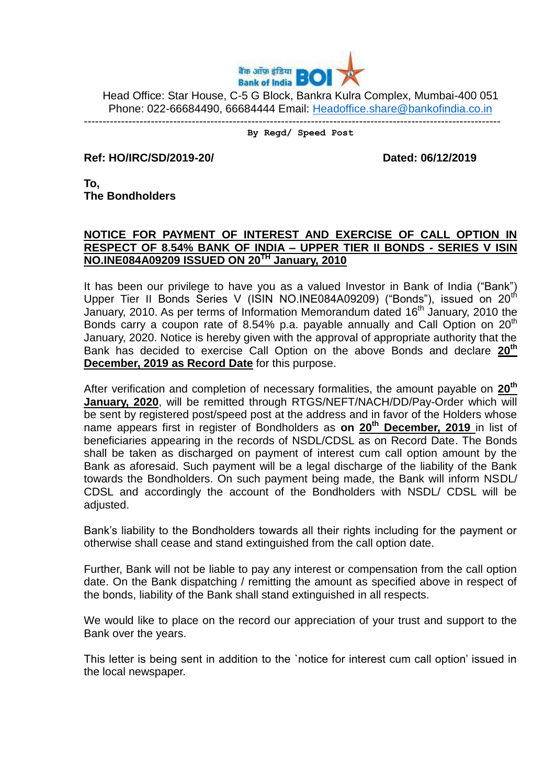

Head Office: Star House, C-5 G Block, Bankra Kulra Complex, Mumbai-400 051 Phone: 022-66684490, 66684444 Email: [Headoffice.share@bankofindia.co.in](mailto:Headoffice.share@bankofindia.co.in)

---------------------------------------------------------------------------------------------------------------- **By Regd/ Speed Post**

**Ref: HO/IRC/SD/2019-20/ Dated: 06/12/2019** 

**To, The Bondholders**

## **NOTICE FOR PAYMENT OF INTEREST AND EXERCISE OF CALL OPTION IN RESPECT OF 8.54% BANK OF INDIA – UPPER TIER II BONDS - SERIES V ISIN NO.INE084A09209 ISSUED ON 20TH January, 2010**

It has been our privilege to have you as a valued Investor in Bank of India ("Bank") Upper Tier II Bonds Series V (ISIN NO.INE084A09209) ("Bonds"), issued on 20<sup>th</sup> January, 2010. As per terms of Information Memorandum dated 16<sup>th</sup> January, 2010 the Bonds carry a coupon rate of 8.54% p.a. payable annually and Call Option on  $20<sup>th</sup>$ January, 2020. Notice is hereby given with the approval of appropriate authority that the Bank has decided to exercise Call Option on the above Bonds and declare **20th December, 2019 as Record Date** for this purpose.

After verification and completion of necessary formalities, the amount payable on **20th January, 2020**, will be remitted through RTGS/NEFT/NACH/DD/Pay-Order which will be sent by registered post/speed post at the address and in favor of the Holders whose name appears first in register of Bondholders as **on 20th December, 2019** in list of beneficiaries appearing in the records of NSDL/CDSL as on Record Date. The Bonds shall be taken as discharged on payment of interest cum call option amount by the Bank as aforesaid. Such payment will be a legal discharge of the liability of the Bank towards the Bondholders. On such payment being made, the Bank will inform NSDL/ CDSL and accordingly the account of the Bondholders with NSDL/ CDSL will be adjusted.

Bank's liability to the Bondholders towards all their rights including for the payment or otherwise shall cease and stand extinguished from the call option date.

Further, Bank will not be liable to pay any interest or compensation from the call option date. On the Bank dispatching / remitting the amount as specified above in respect of the bonds, liability of the Bank shall stand extinguished in all respects.

We would like to place on the record our appreciation of your trust and support to the Bank over the years.

This letter is being sent in addition to the `notice for interest cum call option' issued in the local newspaper.